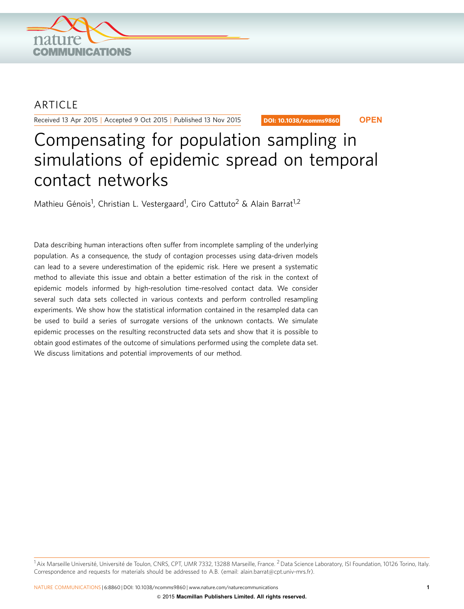

## **ARTICLE**

Received 13 Apr 2015 | Accepted 9 Oct 2015 | Published 13 Nov 2015

DOI: 10.1038/ncomms9860 **OPEN**

# Compensating for population sampling in simulations of epidemic spread on temporal contact networks

Mathieu Génois<sup>1</sup>, Christian L. Vestergaard<sup>1</sup>, Ciro Cattuto<sup>2</sup> & Alain Barrat<sup>1,2</sup>

Data describing human interactions often suffer from incomplete sampling of the underlying population. As a consequence, the study of contagion processes using data-driven models can lead to a severe underestimation of the epidemic risk. Here we present a systematic method to alleviate this issue and obtain a better estimation of the risk in the context of epidemic models informed by high-resolution time-resolved contact data. We consider several such data sets collected in various contexts and perform controlled resampling experiments. We show how the statistical information contained in the resampled data can be used to build a series of surrogate versions of the unknown contacts. We simulate epidemic processes on the resulting reconstructed data sets and show that it is possible to obtain good estimates of the outcome of simulations performed using the complete data set. We discuss limitations and potential improvements of our method.

 $1A$ ix Marseille Université, Université de Toulon, CNRS, CPT, UMR 7332, 13288 Marseille, France. <sup>2</sup> Data Science Laboratory, ISI Foundation, 10126 Torino, Italy. Correspondence and requests for materials should be addressed to A.B. (email: [alain.barrat@cpt.univ-mrs.fr\)](mailto:alain.barrat@cpt.univ-mrs.fr).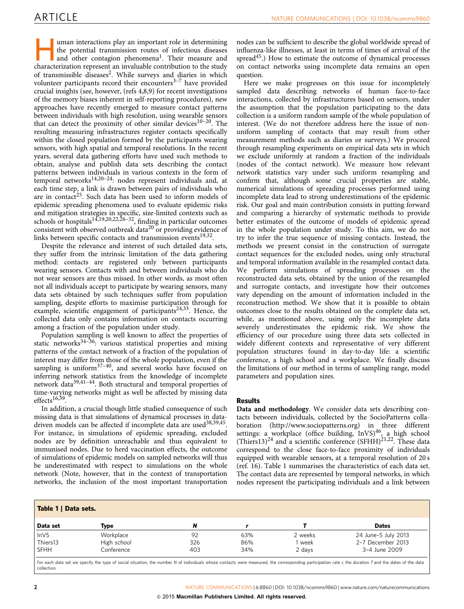uman interactions play an important role in determining the potential transmission routes of infectious diseases and other contagion phenomena<sup>1</sup>. Their measure and characterization represent an invaluable contribution to the study of transmissible diseases<sup>2</sup>. While surveys and diaries in which volunteer participants record their encounters $3-7$  have provided crucial insights (see, however, [\(refs 4,8,9](#page-11-0)) for recent investigations of the memory biases inherent in self-reporting procedures), new approaches have recently emerged to measure contact patterns between individuals with high resolution, using wearable sensors that can detect the proximity of other similar devices<sup>10-20</sup>. The resulting measuring infrastructures register contacts specifically within the closed population formed by the participants wearing sensors, with high spatial and temporal resolutions. In the recent years, several data gathering efforts have used such methods to obtain, analyse and publish data sets describing the contact patterns between individuals in various contexts in the form of temporal networks<sup>14,20-24</sup>: nodes represent individuals and, at each time step, a link is drawn between pairs of individuals who are in contact<sup>[25](#page-11-0)</sup>. Such data has been used to inform models of epidemic spreading phenomena used to evaluate epidemic risks and mitigation strategies in specific, size-limited contexts such as schools or hospitals<sup>[14,19,20,22,26–32](#page-11-0)</sup>, finding in particular outcomes consistent with observed outbreak data<sup>[20](#page-11-0)</sup> or providing evidence of links between specific contacts and transmission events $19,32$ .

Despite the relevance and interest of such detailed data sets, they suffer from the intrinsic limitation of the data gathering method: contacts are registered only between participants wearing sensors. Contacts with and between individuals who do not wear sensors are thus missed. In other words, as most often not all individuals accept to participate by wearing sensors, many data sets obtained by such techniques suffer from population sampling, despite efforts to maximise participation through for example, scientific engagement of participants<sup>[24,33](#page-11-0)</sup>. Hence, the collected data only contains information on contacts occurring among a fraction of the population under study.

Population sampling is well known to affect the properties of static networks<sup>34-36</sup>: various statistical properties and mixing patterns of the contact network of a fraction of the population of interest may differ from those of the whole population, even if the sampling is uniform $37-40$ , and several works have focused on inferring network statistics from the knowledge of incomplete network dat[a39,41–44](#page-11-0). Both structural and temporal properties of time-varying networks might as well be affected by missing data effects<sup>[16,39](#page-11-0)</sup>.

In addition, a crucial though little studied consequence of such missing data is that simulations of dynamical processes in datadriven models can be affected if incomplete data are used<sup>38,39,45</sup>. For instance, in simulations of epidemic spreading, excluded nodes are by definition unreachable and thus equivalent to immunised nodes. Due to herd vaccination effects, the outcome of simulations of epidemic models on sampled networks will thus be underestimated with respect to simulations on the whole network (Note, however, that in the context of transportation networks, the inclusion of the most important transportation

nodes can be sufficient to describe the global worldwide spread of influenza-like illnesses, at least in terms of times of arrival of the spread $45$ .) How to estimate the outcome of dynamical processes on contact networks using incomplete data remains an open question.

Here we make progresses on this issue for incompletely sampled data describing networks of human face-to-face interactions, collected by infrastructures based on sensors, under the assumption that the population participating to the data collection is a uniform random sample of the whole population of interest. (We do not therefore address here the issue of nonuniform sampling of contacts that may result from other measurement methods such as diaries or surveys.) We proceed through resampling experiments on empirical data sets in which we exclude uniformly at random a fraction of the individuals (nodes of the contact network). We measure how relevant network statistics vary under such uniform resampling and confirm that, although some crucial properties are stable, numerical simulations of spreading processes performed using incomplete data lead to strong underestimations of the epidemic risk. Our goal and main contribution consists in putting forward and comparing a hierarchy of systematic methods to provide better estimates of the outcome of models of epidemic spread in the whole population under study. To this aim, we do not try to infer the true sequence of missing contacts. Instead, the methods we present consist in the construction of surrogate contact sequences for the excluded nodes, using only structural and temporal information available in the resampled contact data. We perform simulations of spreading processes on the reconstructed data sets, obtained by the union of the resampled and surrogate contacts, and investigate how their outcomes vary depending on the amount of information included in the reconstruction method. We show that it is possible to obtain outcomes close to the results obtained on the complete data set, while, as mentioned above, using only the incomplete data severely underestimates the epidemic risk. We show the efficiency of our procedure using three data sets collected in widely different contexts and representative of very different population structures found in day-to-day life: a scientific conference, a high school and a workplace. We finally discuss the limitations of our method in terms of sampling range, model parameters and population sizes.

### **Results**

Data and methodology. We consider data sets describing contacts between individuals, collected by the SocioPatterns collaboration [\(http://www.sociopatterns.org\)](http://www.sociopatterns.org) in three different settings: a workplace (office building, InVS)<sup>[46](#page-11-0)</sup>, a high school  $(Thiers13)^{24}$  $(Thiers13)^{24}$  $(Thiers13)^{24}$  and a scientific conference  $(SFHH)^{21,22}$  $(SFHH)^{21,22}$  $(SFHH)^{21,22}$ . These data correspond to the close face-to-face proximity of individuals equipped with wearable sensors, at a temporal resolution of 20 s ([ref. 16](#page-11-0)). Table 1 summarises the characteristics of each data set. The contact data are represented by temporal networks, in which nodes represent the participating individuals and a link between

| Table 1   Data sets.    |                           |            |            |         |                                    |  |  |
|-------------------------|---------------------------|------------|------------|---------|------------------------------------|--|--|
| Data set                | Type                      | N          |            |         | <b>Dates</b>                       |  |  |
| InVS                    | Workplace                 | 92         | 63%        | 2 weeks | 24 June-5 July 2013                |  |  |
| Thiers13<br><b>SFHH</b> | High school<br>Conference | 326<br>403 | 86%<br>34% | week    | 2-7 December 2013<br>3-4 June 2009 |  |  |
|                         |                           |            |            | 2 days  |                                    |  |  |

For each data set we specify the type of social situation, the number N of individuals whose contacts were measured, the corresponding participation rate r, the duration T and the dates of the data collection.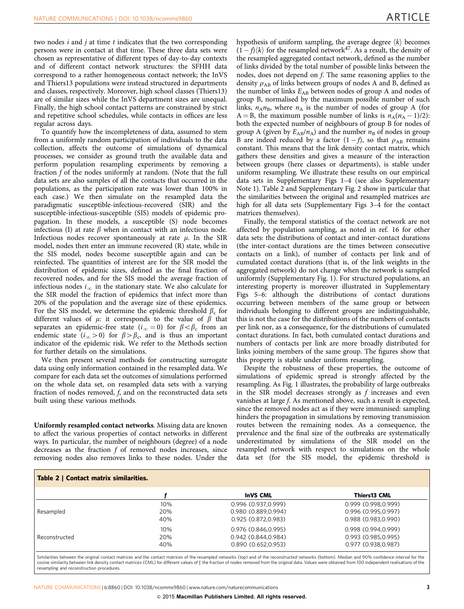<span id="page-2-0"></span>two nodes  $i$  and  $j$  at time  $t$  indicates that the two corresponding persons were in contact at that time. These three data sets were chosen as representative of different types of day-to-day contexts and of different contact network structures: the SFHH data correspond to a rather homogeneous contact network; the InVS and Thiers13 populations were instead structured in departments and classes, respectively. Moreover, high school classes (Thiers13) are of similar sizes while the InVS department sizes are unequal. Finally, the high school contact patterns are constrained by strict and repetitive school schedules, while contacts in offices are less regular across days.

To quantify how the incompleteness of data, assumed to stem from a uniformly random participation of individuals to the data collection, affects the outcome of simulations of dynamical processes, we consider as ground truth the available data and perform population resampling experiments by removing a fraction f of the nodes uniformly at random. (Note that the full data sets are also samples of all the contacts that occurred in the populations, as the participation rate was lower than 100% in each case.) We then simulate on the resampled data the paradigmatic susceptible-infectious-recovered (SIR) and the susceptible-infectious-susceptible (SIS) models of epidemic propagation. In these models, a susceptible (S) node becomes infectious (I) at rate  $\beta$  when in contact with an infectious node. Infectious nodes recover spontaneously at rate  $\mu$ . In the SIR model, nodes then enter an immune recovered (R) state, while in the SIS model, nodes become susceptible again and can be reinfected. The quantities of interest are for the SIR model the distribution of epidemic sizes, defined as the final fraction of recovered nodes, and for the SIS model the average fraction of infectious nodes  $i_{\infty}$  in the stationary state. We also calculate for the SIR model the fraction of epidemics that infect more than 20% of the population and the average size of these epidemics. For the SIS model, we determine the epidemic threshold  $\beta_c$  for different values of  $\mu$ : it corresponds to the value of  $\beta$  that separates an epidemic-free state  $(i_{\infty} = 0)$  for  $\beta < \beta_c$  from an endemic state  $(i_{\infty} > 0)$  for  $\beta > \beta_c$ , and is thus an important indicator of the epidemic risk. We refer to the Methods section for further details on the simulations.

We then present several methods for constructing surrogate data using only information contained in the resampled data. We compare for each data set the outcomes of simulations performed on the whole data set, on resampled data sets with a varying fraction of nodes removed, f, and on the reconstructed data sets built using these various methods.

Uniformly resampled contact networks. Missing data are known to affect the various properties of contact networks in different ways. In particular, the number of neighbours (degree) of a node decreases as the fraction  $f$  of removed nodes increases, since removing nodes also removes links to these nodes. Under the

hypothesis of uniform sampling, the average degree  $\langle k \rangle$  becomes  $(1-f)\langle k \rangle$  for the resampled network<sup>[47](#page-11-0)</sup>. As a result, the density of the resampled aggregated contact network, defined as the number of links divided by the total number of possible links between the nodes, does not depend on f. The same reasoning applies to the density  $\rho_{AB}$  of links between groups of nodes A and B, defined as the number of links  $E_{AB}$  between nodes of group A and nodes of group B, normalised by the maximum possible number of such links,  $n_A n_B$ , where  $n_A$  is the number of nodes of group A (for  $A = B$ , the maximum possible number of links is  $n_A(n_A - 1)/2$ : both the expected number of neighbours of group B for nodes of group A (given by  $E_{AB}/n_A$ ) and the number  $n_B$  of nodes in group B are indeed reduced by a factor  $(1-f)$ , so that  $\rho_{AB}$  remains constant. This means that the link density contact matrix, which gathers these densities and gives a measure of the interaction between groups (here classes or departments), is stable under uniform resampling. We illustrate these results on our empirical data sets in Supplementary Figs 1–4 (see also Supplementary Note 1). Table 2 and Supplementary Fig. 2 show in particular that the similarities between the original and resampled matrices are high for all data sets (Supplementary Figs 3–4 for the contact matrices themselves).

Finally, the temporal statistics of the contact network are not affected by population sampling, as noted in [ref. 16](#page-11-0) for other data sets: the distributions of contact and inter-contact durations (the inter-contact durations are the times between consecutive contacts on a link), of number of contacts per link and of cumulated contact durations (that is, of the link weights in the aggregated network) do not change when the network is sampled uniformly (Supplementary Fig. 1). For structured populations, an interesting property is moreover illustrated in Supplementary Figs 5–6: although the distributions of contact durations occurring between members of the same group or between individuals belonging to different groups are indistinguishable, this is not the case for the distributions of the numbers of contacts per link nor, as a consequence, for the distributions of cumulated contact durations. In fact, both cumulated contact durations and numbers of contacts per link are more broadly distributed for links joining members of the same group. The figures show that this property is stable under uniform resampling.

Despite the robustness of these properties, the outcome of simulations of epidemic spread is strongly affected by the resampling. As [Fig. 1](#page-3-0) illustrates, the probability of large outbreaks in the SIR model decreases strongly as  $f$  increases and even vanishes at large f. As mentioned above, such a result is expected, since the removed nodes act as if they were immunised: sampling hinders the propagation in simulations by removing transmission routes between the remaining nodes. As a consequence, the prevalence and the final size of the outbreaks are systematically underestimated by simulations of the SIR model on the resampled network with respect to simulations on the whole data set (for the SIS model, the epidemic threshold is

| Table 2   Contact matrix similarities. |     |                     |                     |  |  |  |
|----------------------------------------|-----|---------------------|---------------------|--|--|--|
|                                        |     | <b>InVS CML</b>     | Thiers13 CML        |  |  |  |
|                                        | 10% | 0.996 (0.937.0.999) | 0.999 (0.998.0.999) |  |  |  |
| Resampled                              | 20% | 0.980 (0.889.0.994) | 0.996 (0.995.0.997) |  |  |  |
|                                        | 40% | 0.925 (0.872.0.983) | 0.988 (0.983.0.990) |  |  |  |
|                                        | 10% | 0.976 (0.846,0.995) | 0.998 (0.994,0.999) |  |  |  |
| Reconstructed                          | 20% | 0.942 (0.844.0.984) | 0.993 (0.985,0.995) |  |  |  |
|                                        | 40% | 0.890 (0.652,0.953) | 0.977 (0.938,0.987) |  |  |  |

Similarities between the original contact matrices and the contact matrices of the resampled networks (top) and of the reconstructed networks (bottom). Median and 90% confidence interval for the cosine similarity between link density contact matrices (CML) for different values of f, the fraction of nodes removed from the original data. Values were obtained from 100 independent realisations of the cosmos structure resampling and reconstruction procedures.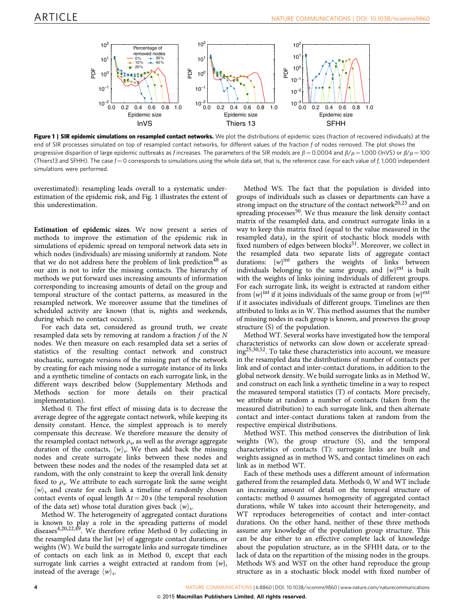<span id="page-3-0"></span>

Figure 1 | SIR epidemic simulations on resampled contact networks. We plot the distributions of epidemic sizes (fraction of recovered individuals) at the end of SIR processes simulated on top of resampled contact networks, for different values of the fraction f of nodes removed. The plot shows the progressive disparition of large epidemic outbreaks as f increases. The parameters of the SIR models are  $\beta = 0.0004$  and  $\beta/\mu = 1,000$  (InVS) or  $\beta/\mu = 100$ (Thiers13 and SFHH). The case  $f = 0$  corresponds to simulations using the whole data set, that is, the reference case. For each value of f, 1,000 independent simulations were performed.

overestimated): resampling leads overall to a systematic underestimation of the epidemic risk, and Fig. 1 illustrates the extent of this underestimation.

Estimation of epidemic sizes. We now present a series of methods to improve the estimation of the epidemic risk in simulations of epidemic spread on temporal network data sets in which nodes (individuals) are missing uniformly at random. Note that we do not address here the problem of link prediction<sup>[48](#page-11-0)</sup> as our aim is not to infer the missing contacts. The hierarchy of methods we put forward uses increasing amounts of information corresponding to increasing amounts of detail on the group and temporal structure of the contact patterns, as measured in the resampled network. We moreover assume that the timelines of scheduled activity are known (that is, nights and weekends, during which no contact occurs).

For each data set, considered as ground truth, we create resampled data sets by removing at random a fraction  $f$  of the  $N$ nodes. We then measure on each resampled data set a series of statistics of the resulting contact network and construct stochastic, surrogate versions of the missing part of the network by creating for each missing node a surrogate instance of its links and a synthetic timeline of contacts on each surrogate link, in the different ways described below (Supplementary Methods and Methods section for more details on their practical implementation).

Method 0. The first effect of missing data is to decrease the average degree of the aggregate contact network, while keeping its density constant. Hence, the simplest approach is to merely compensate this decrease. We therefore measure the density of the resampled contact network  $\rho_s$ , as well as the average aggregate duration of the contacts,  $\langle w \rangle$ <sub>s</sub>. We then add back the missing nodes and create surrogate links between these nodes and between these nodes and the nodes of the resampled data set at random, with the only constraint to keep the overall link density fixed to  $\rho_s$ . We attribute to each surrogate link the same weight  $\langle w \rangle_s$  and create for each link a timeline of randomly chosen contact events of equal length  $\Delta t = 20$  s (the temporal resolution of the data set) whose total duration gives back  $\langle w \rangle_{s}$ .

Method W. The heterogeneity of aggregated contact durations is known to play a role in the spreading patterns of model diseases[4,20,22,49.](#page-11-0) We therefore refine Method 0 by collecting in the resampled data the list  $\{w\}$  of aggregate contact durations, or weights (W). We build the surrogate links and surrogate timelines of contacts on each link as in Method 0, except that each surrogate link carries a weight extracted at random from  $\{w\}$ , instead of the average  $\langle w \rangle$ <sub>s</sub>.

Method WS. The fact that the population is divided into groups of individuals such as classes or departments can have a strong impact on the structure of the contact network $20,23$  and on spreading processes $50$ . We thus measure the link density contact matrix of the resampled data, and construct surrogate links in a way to keep this matrix fixed (equal to the value measured in the resampled data), in the spirit of stochastic block models with fixed numbers of edges between blocks $51$ . Moreover, we collect in the resampled data two separate lists of aggregate contact durations: {w}<sup>int</sup> gathers the weights of links between individuals belonging to the same group, and  ${w}^{ext}$  is built with the weights of links joining individuals of different groups. For each surrogate link, its weight is extracted at random either from  ${w}^{int}$  if it joins individuals of the same group or from  ${w}^{ext}$ if it associates individuals of different groups. Timelines are then attributed to links as in W. This method assumes that the number of missing nodes in each group is known, and preserves the group structure (S) of the population.

Method WT. Several works have investigated how the temporal characteristics of networks can slow down or accelerate spreading[25,30,52.](#page-11-0) To take these characteristics into account, we measure in the resampled data the distributions of number of contacts per link and of contact and inter-contact durations, in addition to the global network density. We build surrogate links as in Method W, and construct on each link a synthetic timeline in a way to respect the measured temporal statistics (T) of contacts. More precisely, we attribute at random a number of contacts (taken from the measured distribution) to each surrogate link, and then alternate contact and inter-contact durations taken at random from the respective empirical distributions.

Method WST. This method conserves the distribution of link weights (W), the group structure (S), and the temporal characteristics of contacts (T): surrogate links are built and weights assigned as in method WS, and contact timelines on each link as in method WT.

Each of these methods uses a different amount of information gathered from the resampled data. Methods 0, W and WT include an increasing amount of detail on the temporal structure of contacts: method 0 assumes homogeneity of aggregated contact durations, while W takes into account their heterogeneity, and WT reproduces heterogeneities of contact and inter-contact durations. On the other hand, neither of these three methods assume any knowledge of the population group structure. This can be due either to an effective complete lack of knowledge about the population structure, as in the SFHH data, or to the lack of data on the repartition of the missing nodes in the groups. Methods WS and WST on the other hand reproduce the group structure as in a stochastic block model with fixed number of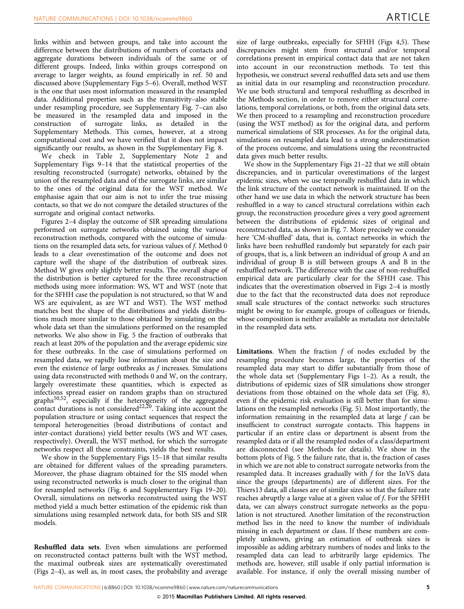links within and between groups, and take into account the difference between the distributions of numbers of contacts and aggregate durations between individuals of the same or of different groups. Indeed, links within groups correspond on average to larger weights, as found empirically in [ref. 50](#page-11-0) and discussed above (Supplementary Figs 5–6). Overall, method WST is the one that uses most information measured in the resampled data. Additional properties such as the transitivity–also stable under resampling procedure, see Supplementary Fig. 7–can also be measured in the resampled data and imposed in the construction of surrogate links, as detailed in the Supplementary Methods. This comes, however, at a strong computational cost and we have verified that it does not impact significantly our results, as shown in the Supplementary Fig. 8.

We check in [Table 2,](#page-2-0) Supplementary Note 2 and Supplementary Figs 9–14 that the statistical properties of the resulting reconstructed (surrogate) networks, obtained by the union of the resampled data and of the surrogate links, are similar to the ones of the original data for the WST method. We emphasise again that our aim is not to infer the true missing contacts, so that we do not compare the detailed structures of the surrogate and original contact networks.

[Figures 2–4](#page-5-0) display the outcome of SIR spreading simulations performed on surrogate networks obtained using the various reconstruction methods, compared with the outcome of simulations on the resampled data sets, for various values of f. Method 0 leads to a clear overestimation of the outcome and does not capture well the shape of the distribution of outbreak sizes. Method W gives only slightly better results. The overall shape of the distribution is better captured for the three reconstruction methods using more information: WS, WT and WST (note that for the SFHH case the population is not structured, so that W and WS are equivalent, as are WT and WST). The WST method matches best the shape of the distributions and yields distributions much more similar to those obtained by simulating on the whole data set than the simulations performed on the resampled networks. We also show in [Fig. 5](#page-8-0) the fraction of outbreaks that reach at least 20% of the population and the average epidemic size for these outbreaks. In the case of simulations performed on resampled data, we rapidly lose information about the size and even the existence of large outbreaks as f increases. Simulations using data reconstructed with methods 0 and W, on the contrary, largely overestimate these quantities, which is expected as infections spread easier on random graphs than on structured graphs<sup>[50,52](#page-11-0)</sup>, especially if the heterogeneity of the aggregated contact durations is not considered<sup>22,20</sup>. Taking into account the population structure or using contact sequences that respect the temporal heterogeneities (broad distributions of contact and inter-contact durations) yield better results (WS and WT cases, respectively). Overall, the WST method, for which the surrogate networks respect all these constraints, yields the best results.

We show in the Supplementary Figs 15–18 that similar results are obtained for different values of the spreading parameters. Moreover, the phase diagram obtained for the SIS model when using reconstructed networks is much closer to the original than for resampled networks ([Fig. 6](#page-9-0) and Supplementary Figs 19–20). Overall, simulations on networks reconstructed using the WST method yield a much better estimation of the epidemic risk than simulations using resampled network data, for both SIS and SIR models.

Reshuffled data sets. Even when simulations are performed on reconstructed contact patterns built with the WST method, the maximal outbreak sizes are systematically overestimated ([Figs 2–4](#page-5-0)), as well as, in most cases, the probability and average

size of large outbreaks, especially for SFHH ([Figs 4,5\)](#page-7-0). These discrepancies might stem from structural and/or temporal correlations present in empirical contact data that are not taken into account in our reconstruction methods. To test this hypothesis, we construct several reshuffled data sets and use them as initial data in our resampling and reconstruction procedure. We use both structural and temporal reshuffling as described in the Methods section, in order to remove either structural correlations, temporal correlations, or both, from the original data sets. We then proceed to a resampling and reconstruction procedure (using the WST method) as for the original data, and perform numerical simulations of SIR processes. As for the original data, simulations on resampled data lead to a strong underestimation of the process outcome, and simulations using the reconstructed data gives much better results.

We show in the Supplementary Figs 21–22 that we still obtain discrepancies, and in particular overestimations of the largest epidemic sizes, when we use temporally reshuffled data in which the link structure of the contact network is maintained. If on the other hand we use data in which the network structure has been reshuffled in a way to cancel structural correlations within each group, the reconstruction procedure gives a very good agreement between the distributions of epidemic sizes of original and reconstructed data, as shown in [Fig. 7.](#page-10-0) More precisely we consider here 'CM-shuffled' data, that is, contact networks in which the links have been reshuffled randomly but separately for each pair of groups, that is, a link between an individual of group A and an individual of group B is still between groups A and B in the reshuffled network. The difference with the case of non-reshuffled empirical data are particularly clear for the SFHH case. This indicates that the overestimation observed in [Figs 2–4](#page-5-0) is mostly due to the fact that the reconstructed data does not reproduce small scale structures of the contact networks: such structures might be owing to for example, groups of colleagues or friends, whose composition is neither available as metadata nor detectable in the resampled data sets.

**Limitations.** When the fraction  $f$  of nodes excluded by the resampling procedure becomes large, the properties of the resampled data may start to differ substantially from those of the whole data set (Supplementary Figs 1–2). As a result, the distributions of epidemic sizes of SIR simulations show stronger deviations from those obtained on the whole data set ([Fig. 8](#page-10-0)), even if the epidemic risk evaluation is still better than for simulations on the resampled networks ([Fig. 5\)](#page-8-0). Most importantly, the information remaining in the resampled data at large  $f$  can be insufficient to construct surrogate contacts. This happens in particular if an entire class or department is absent from the resampled data or if all the resampled nodes of a class/department are disconnected (see Methods for details). We show in the bottom plots of [Fig. 5](#page-8-0) the failure rate, that is, the fraction of cases in which we are not able to construct surrogate networks from the resampled data. It increases gradually with f for the InVS data since the groups (departments) are of different sizes. For the Thiers13 data, all classes are of similar sizes so that the failure rate reaches abruptly a large value at a given value of f. For the SFHH data, we can always construct surrogate networks as the population is not structured. Another limitation of the reconstruction method lies in the need to know the number of individuals missing in each department or class. If these numbers are completely unknown, giving an estimation of outbreak sizes is impossible as adding arbitrary numbers of nodes and links to the resampled data can lead to arbitrarily large epidemics. The methods are, however, still usable if only partial information is available. For instance, if only the overall missing number of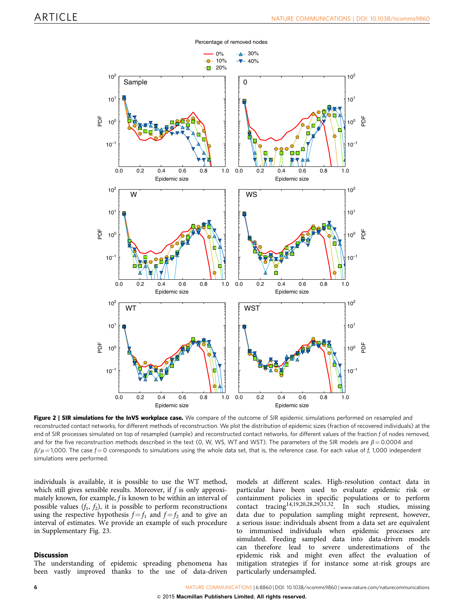<span id="page-5-0"></span>

Percentage of removed nodes

Figure 2 | SIR simulations for the InVS workplace case. We compare of the outcome of SIR epidemic simulations performed on resampled and reconstructed contact networks, for different methods of reconstruction. We plot the distribution of epidemic sizes (fraction of recovered individuals) at the end of SIR processes simulated on top of resampled (sample) and reconstructed contact networks, for different values of the fraction f of nodes removed, and for the five reconstruction methods described in the text (0, W, WS, WT and WST). The parameters of the SIR models are  $\beta$  = 0.0004 and  $\beta/\mu$  = 1,000. The case  $f = 0$  corresponds to simulations using the whole data set, that is, the reference case. For each value of f, 1,000 independent simulations were performed.

individuals is available, it is possible to use the WT method, which still gives sensible results. Moreover, if  $f$  is only approximately known, for example,  $f$  is known to be within an interval of possible values  $(f_1, f_2)$ , it is possible to perform reconstructions using the respective hypothesis  $f = f_1$  and  $f = f_2$  and to give an interval of estimates. We provide an example of such procedure in Supplementary Fig. 23.

### **Discussion**

The understanding of epidemic spreading phenomena has been vastly improved thanks to the use of data-driven

models at different scales. High-resolution contact data in particular have been used to evaluate epidemic risk or containment policies in specific populations or to perform contact tracing<sup>[14,19,20,28,29,31,32](#page-11-0)</sup>. In such studies, missing data due to population sampling might represent, however, a serious issue: individuals absent from a data set are equivalent to immunised individuals when epidemic processes are simulated. Feeding sampled data into data-driven models can therefore lead to severe underestimations of the epidemic risk and might even affect the evaluation of mitigation strategies if for instance some at-risk groups are particularly undersampled.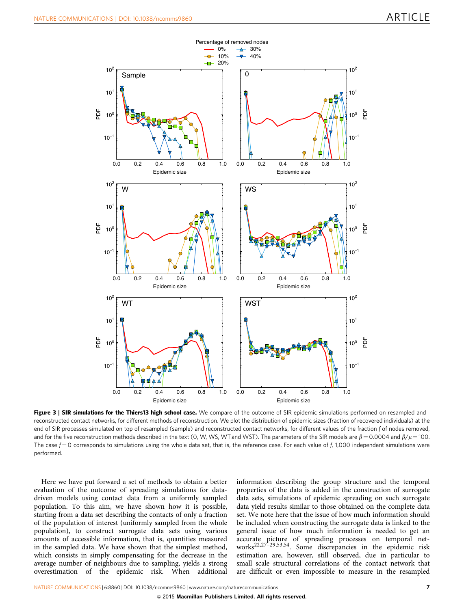

Figure 3 | SIR simulations for the Thiers13 high school case. We compare of the outcome of SIR epidemic simulations performed on resampled and reconstructed contact networks, for different methods of reconstruction. We plot the distribution of epidemic sizes (fraction of recovered individuals) at the end of SIR processes simulated on top of resampled (sample) and reconstructed contact networks, for different values of the fraction f of nodes removed, and for the five reconstruction methods described in the text (0, W, WS, WT and WST). The parameters of the SIR models are  $\beta = 0.0004$  and  $\beta/\mu = 100$ . The case  $f = 0$  corresponds to simulations using the whole data set, that is, the reference case. For each value of  $f$ , 1,000 independent simulations were performed.

Here we have put forward a set of methods to obtain a better evaluation of the outcome of spreading simulations for datadriven models using contact data from a uniformly sampled population. To this aim, we have shown how it is possible, starting from a data set describing the contacts of only a fraction of the population of interest (uniformly sampled from the whole population), to construct surrogate data sets using various amounts of accessible information, that is, quantities measured in the sampled data. We have shown that the simplest method, which consists in simply compensating for the decrease in the average number of neighbours due to sampling, yields a strong overestimation of the epidemic risk. When additional

information describing the group structure and the temporal properties of the data is added in the construction of surrogate data sets, simulations of epidemic spreading on such surrogate data yield results similar to those obtained on the complete data set. We note here that the issue of how much information should be included when constructing the surrogate data is linked to the general issue of how much information is needed to get an accurate picture of spreading processes on temporal networks[22,27–29,53,54.](#page-11-0) Some discrepancies in the epidemic risk estimation are, however, still observed, due in particular to small scale structural correlations of the contact network that are difficult or even impossible to measure in the resampled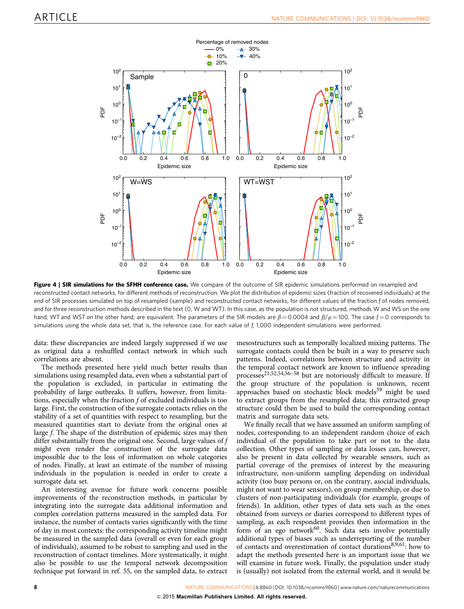<span id="page-7-0"></span>

Figure 4 | SIR simulations for the SFHH conference case. We compare of the outcome of SIR epidemic simulations performed on resampled and reconstructed contact networks, for different methods of reconstruction. We plot the distribution of epidemic sizes (fraction of recovered individuals) at the end of SIR processes simulated on top of resampled (sample) and reconstructed contact networks, for different values of the fraction f of nodes removed, and for three reconstruction methods described in the text (0, W and WT). In this case, as the population is not structured, methods W and WS on the one hand, WT and WST on the other hand, are equivalent. The parameters of the SIR models are  $\beta = 0.0004$  and  $\beta/\mu = 100$ . The case  $f = 0$  corresponds to simulations using the whole data set, that is, the reference case. For each value of  $f<sub>i</sub>$  1,000 independent simulations were performed.

data: these discrepancies are indeed largely suppressed if we use as original data a reshuffled contact network in which such correlations are absent.

The methods presented here yield much better results than simulations using resampled data, even when a substantial part of the population is excluded, in particular in estimating the probability of large outbreaks. It suffers, however, from limitations, especially when the fraction  $f$  of excluded individuals is too large. First, the construction of the surrogate contacts relies on the stability of a set of quantities with respect to resampling, but the measured quantities start to deviate from the original ones at large f. The shape of the distribution of epidemic sizes may then differ substantially from the original one. Second, large values of f might even render the construction of the surrogate data impossible due to the loss of information on whole categories of nodes. Finally, at least an estimate of the number of missing individuals in the population is needed in order to create a surrogate data set.

An interesting avenue for future work concerns possible improvements of the reconstruction methods, in particular by integrating into the surrogate data additional information and complex correlation patterns measured in the sampled data. For instance, the number of contacts varies significantly with the time of day in most contexts: the corresponding activity timeline might be measured in the sampled data (overall or even for each group of individuals), assumed to be robust to sampling and used in the reconstruction of contact timelines. More systematically, it might also be possible to use the temporal network decomposition technique put forward in [ref. 55](#page-12-0), on the sampled data, to extract mesostructures such as temporally localized mixing patterns. The surrogate contacts could then be built in a way to preserve such patterns. Indeed, correlations between structure and activity in the temporal contact network are known to influence spreading processes[21,52,54,56–58](#page-11-0) but are notoriously difficult to measure. If the group structure of the population is unknown, recent approaches based on stochastic block models<sup>[59](#page-12-0)</sup> might be used to extract groups from the resampled data; this extracted group structure could then be used to build the corresponding contact matrix and surrogate data sets.

We finally recall that we have assumed an uniform sampling of nodes, corresponding to an independent random choice of each individual of the population to take part or not to the data collection. Other types of sampling or data losses can, however, also be present in data collected by wearable sensors, such as partial coverage of the premises of interest by the measuring infrastructure, non-uniform sampling depending on individual activity (too busy persons or, on the contrary, asocial individuals, might not want to wear sensors), on group membership, or due to clusters of non-participating individuals (for example, groups of friends). In addition, other types of data sets such as the ones obtained from surveys or diaries correspond to different types of sampling, as each respondent provides then information in the form of an ego network $60$ . Such data sets involve potentially additional types of biases such as underreporting of the number of contacts and overestimation of contact durations[8,9,61:](#page-11-0) how to adapt the methods presented here is an important issue that we will examine in future work. Finally, the population under study is (usually) not isolated from the external world, and it would be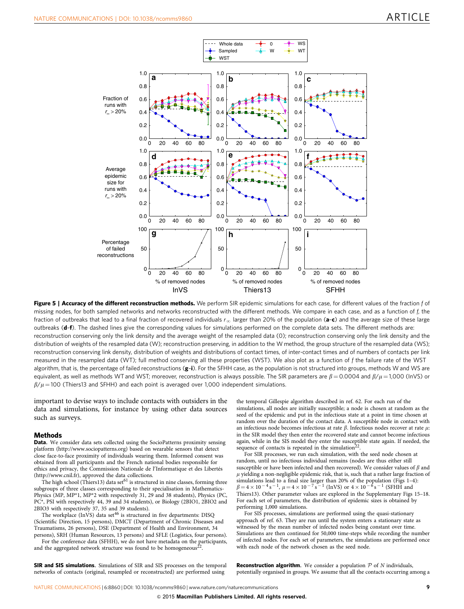<span id="page-8-0"></span>

Figure 5 | Accuracy of the different reconstruction methods. We perform SIR epidemic simulations for each case, for different values of the fraction f of missing nodes, for both sampled networks and networks reconstructed with the different methods. We compare in each case, and as a function of f, the fraction of outbreaks that lead to a final fraction of recovered individuals  $r_{\infty}$  larger than 20% of the population (a-c) and the average size of these large outbreaks (d-f). The dashed lines give the corresponding values for simulations performed on the complete data sets. The different methods are: reconstruction conserving only the link density and the average weight of the resampled data (0); reconstruction conserving only the link density and the distribution of weights of the resampled data (W); reconstruction preserving, in addition to the W method, the group structure of the resampled data (WS); reconstruction conserving link density, distribution of weights and distributions of contact times, of inter-contact times and of numbers of contacts per link measured in the resampled data (WT); full method conserving all these properties (WST). We also plot as a function of f the failure rate of the WST algorithm, that is, the percentage of failed reconstructions (g-i). For the SFHH case, as the population is not structured into groups, methods W and WS are equivalent, as well as methods WT and WST; moreover, reconstruction is always possible. The SIR parameters are  $\beta = 0.0004$  and  $\beta/\mu = 1,000$  (lnVS) or  $\beta/\mu$  = 100 (Thiers13 and SFHH) and each point is averaged over 1,000 independent simulations.

important to devise ways to include contacts with outsiders in the data and simulations, for instance by using other data sources such as surveys.

### **Methods**

Data. We consider data sets collected using the SocioPatterns proximity sensing platform (<http://www.sociopatterns.org>) based on wearable sensors that detect close face-to-face proximity of individuals wearing them. Informed consent was obtained from all participants and the French national bodies responsible for ethics and privacy, the Commission Nationale de l'Informatique et des Libertés [\(http://www.cnil.fr](http://www.cnil.fr)), approved the data collections.

The high school (Thiers13) data set<sup>[61](#page-12-0)</sup> is structured in nine classes, forming three subgroups of three classes corresponding to their specialisation in Mathematics-Physics (MP, MP\*1, MP\*2 with respectively 31, 29 and 38 students), Physics (PC, PC\*, PSI with respectively 44, 39 and 34 students), or Biology (2BIO1, 2BIO2 and

2BIO3 with respectively 37, 35 and 39 students).<br>The workplace (InVS) data set<sup>[46](#page-11-0)</sup> is structured in five departments: DISQ (Scientific Direction, 15 persons), DMCT (Department of Chronic Diseases and Traumatisms, 26 persons), DSE (Department of Health and Environment, 34 persons), SRH (Human Resources, 13 persons) and SFLE (Logistics, four persons).

For the conference data (SFHH), we do not have metadata on the participants, and the aggregated network structure was found to be homogeneous<sup>2</sup>

SIR and SIS simulations. Simulations of SIR and SIS processes on the temporal networks of contacts (original, resampled or reconstructed) are performed using

the temporal Gillespie algorithm described in [ref. 62.](#page-12-0) For each run of the simulations, all nodes are initially susceptible; a node is chosen at random as the seed of the epidemic and put in the infectious state at a point in time chosen at random over the duration of the contact data. A susceptible node in contact with an infectious node becomes infectious at rate  $\beta$ . Infectious nodes recover at rate  $\mu$ : in the SIR model they then enter the recovered state and cannot become infectious again, while in the SIS model they enter the susceptible state again. If needed, the sequence of contacts is repeated in the simulation<sup>2</sup>

For SIR processes, we run each simulation, with the seed node chosen at random, until no infectious individual remains (nodes are thus either still susceptible or have been infected and then recovered). We consider values of  $\beta$  and  $\mu$  yielding a non-negligible epidemic risk, that is, such that a rather large fraction of simulations lead to a final size larger than 20% of the population [\(Figs 1–4\)](#page-3-0):  $\beta = 4 \times 10^{-4} \text{ s}^{-1}$ ,  $\mu = 4 \times 10^{-7} \text{ s}^{-1}$  (InVS) or  $4 \times 10^{-6} \text{ s}^{-1}$  (SFHH and Thiers13). Other parameter values are explored in the Supplementary Figs 15–18. For each set of parameters, the distribution of epidemic sizes is obtained by performing 1,000 simulations.

For SIS processes, simulations are performed using the quasi-stationary approach of [ref. 63.](#page-12-0) They are run until the system enters a stationary state as witnessed by the mean number of infected nodes being constant over time. Simulations are then continued for 50,000 time-steps while recording the number of infected nodes. For each set of parameters, the simulations are performed once with each node of the network chosen as the seed node.

**Reconstruction algorithm.** We consider a population  $P$  of  $N$  individuals, potentially organised in groups. We assume that all the contacts occurring among a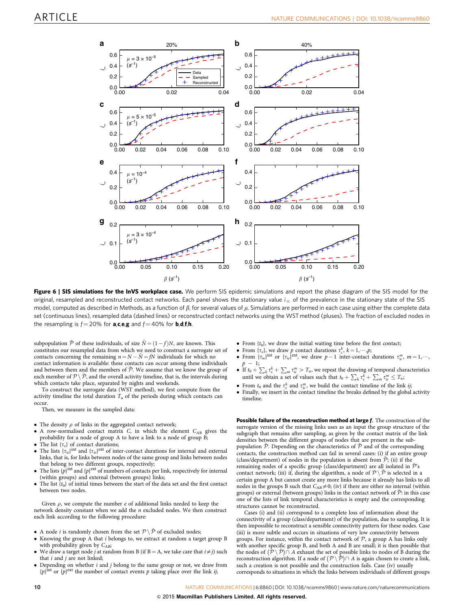<span id="page-9-0"></span>

Figure 6 | SIS simulations for the InVS workplace case. We perform SIS epidemic simulations and report the phase diagram of the SIS model for the original, resampled and reconstructed contact networks. Each panel shows the stationary value  $i_{\infty}$  of the prevalence in the stationary state of the SIS model, computed as described in Methods, as a function of  $\beta$ , for several values of  $\mu$ . Simulations are performed in each case using either the complete data set (continuous lines), resampled data (dashed lines) or reconstructed contact networks using the WSTmethod (pluses). The fraction of excluded nodes in the resampling is  $f = 20\%$  for **a,c,e,g** and  $f = 40\%$  for **b,d,f,h.** 

subpopulation  $\tilde{\mathcal{P}}$  of these individuals, of size  $\tilde{N}$  =  $(1-f)N$ , are known. This constitutes our resampled data from which we need to construct a surrogate set of contacts concerning the remaining  $n = N - \tilde{N} = fN$  individuals for which no contact information is available: these contacts can occur among these individuals and between them and the members of  $\tilde{P}$ . We assume that we know the group of each member of  $\mathcal{P}\setminus\tilde{\mathcal{P}},$  and the overall activity timeline, that is, the intervals during which contacts take place, separated by nights and weekends.

To construct the surrogate data (WST method), we first compute from the activity timeline the total duration  $T_u$  of the periods during which contacts can occur.

Then, we measure in the sampled data:

- The density  $\rho$  of links in the aggregated contact network;
- $\bullet$  A row-normalised contact matrix C, in which the element  $C_{AB}$  gives the probability for a node of group A to have a link to a node of group B;
- The list  $\{\tau_c\}$  of contact durations;
- The lists  $\{\tau_{ic}\}^{\text{int}}$  and  $\{\tau_{ic}\}^{\text{ext}}$  of inter-contact durations for internal and external links, that is, for links between nodes of the same group and links between nodes that belong to two different groups, respectively;
- The lists  $\{p\}^{\text{int}}$  and  $\{p\}^{\text{ext}}$  of numbers of contacts per link, respectively for internal (within groups) and external (between groups) links;
- The list  $\{t_0\}$  of initial times between the start of the data set and the first contact between two nodes.

Given  $\rho$ , we compute the number  $e$  of additional links needed to keep the network density constant when we add the  $n$  excluded nodes. We then construct each link according to the following procedure:

- A node *i* is randomly chosen from the set  $\mathcal{P} \setminus \tilde{\mathcal{P}}$  of excluded nodes;
- Knowing the group A that *i* belongs to, we extract at random a target group B with probability given by  $C_{AB}$ ;
- We draw a target node j at random from B (if  $B = A$ , we take care that  $i \neq j$ ) such that  $i$  and  $j$  are not linked;
- Depending on whether  $i$  and  $j$  belong to the same group or not, we draw from {p}<sup>int</sup> or {p}<sup>ext</sup> the number of contact events p taking place over the link ij;
- From  $\{t_0\}$ , we draw the initial waiting time before the first contact;
- 
- From { $\tau_{i,c}$ }, we draw p contact durations  $\tau_c^k$ ,  $k = 1, \dots, p$ ;<br>
From { $\tau_{i,c}$ }<sup>int</sup> or { $\tau_{i,c}$ }<sup>ext</sup>, we draw p 1 inter-contact durations  $\tau_{i,c}^m$ ,  $m = 1, \dots$  $p - 1;$
- If  $t_0 + \sum_k \tau_c^k + \sum_m \tau_{ic}^m > T_u$ , we repeat the drawing of temporal characteristics until we obtain a set of values such that  $t_0 + \sum_k \tau_c^k + \sum_m \tau_{ic}^m \leq T_{ui}$ ;
- From  $t_0$  and the  $\tau_c^k$  and  $\tau_{ic}^m$ , we build the contact timeline of the link *ij*;
- Finally, we insert in the contact timeline the breaks defined by the global activity timeline.

Possible failure of the reconstruction method at large f. The construction of the surrogate version of the missing links uses as an input the group structure of the subgraph that remains after sampling, as given by the contact matrix of the link densities between the different groups of nodes that are present in the subpopulation  $\tilde{\mathcal{P}}$ . Depending on the characteristics of  $\tilde{\mathcal{P}}$  and of the corresponding contacts, the construction method can fail in several cases: (i) if an entire group (class/department) of nodes in the population is absent from  $\tilde{P}$ ; (ii) if the remaining nodes of a specific group (class/department) are all isolated in  $\tilde{\mathcal{P}}$ 's contact network; (iii) if, during the algorithm, a node of  $\mathcal{P}\setminus\tilde{\mathcal{P}}$  is selected in a certain group A but cannot create any more links because it already has links to all nodes in the groups B such that  $C_{AB} \neq 0$ ; (iv) if there are either no internal (within groups) or external (between groups) links in the contact network of  $\tilde{\mathcal{P}}$ : in this case one of the lists of link temporal characteristics is empty and the corresponding structures cannot be reconstructed.

Cases (i) and (ii) correspond to a complete loss of information about the connectivity of a group (class/department) of the population, due to sampling. It is then impossible to reconstruct a sensible connectivity pattern for these nodes. Case (iii) is more subtle and occurs in situations of very low connectivity between groups. For instance, within the contact network of  $P$ , a group A has links only with another specific group B, and both A and B are small; it is then possible that which another specific group b, and both A and B are small, it is then possible that the nodes of  $(\mathcal{P} \setminus \tilde{\mathcal{P}}) \cap A$  exhaust the set of possible links to nodes of B during the reconstruction algorithm. If a node of  $(P \setminus \mathcal{P}) \cap A$  is again chosen to create a link, such a creation is not possible and the construction fails. Case (iv) usually corresponds to situations in which the links between individuals of different groups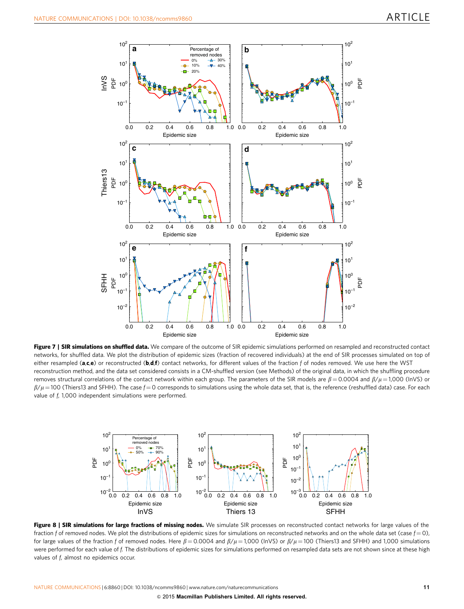<span id="page-10-0"></span>

Figure 7 | SIR simulations on shuffled data. We compare of the outcome of SIR epidemic simulations performed on resampled and reconstructed contact networks, for shuffled data. We plot the distribution of epidemic sizes (fraction of recovered individuals) at the end of SIR processes simulated on top of either resampled ( $a,c,e$ ) or reconstructed ( $b,d,f$ ) contact networks, for different values of the fraction f of nodes removed. We use here the WST reconstruction method, and the data set considered consists in a CM-shuffled version (see Methods) of the original data, in which the shuffling procedure removes structural correlations of the contact network within each group. The parameters of the SIR models are  $\beta = 0.0004$  and  $\beta/u = 1.000$  (InVS) or  $\beta/\mu$  = 100 (Thiers13 and SFHH). The case  $f = 0$  corresponds to simulations using the whole data set, that is, the reference (reshuffled data) case. For each value of f, 1,000 independent simulations were performed.



Figure 8 | SIR simulations for large fractions of missing nodes. We simulate SIR processes on reconstructed contact networks for large values of the fraction f of removed nodes. We plot the distributions of epidemic sizes for simulations on reconstructed networks and on the whole data set (case  $f = 0$ ), for large values of the fraction f of removed nodes. Here  $\beta = 0.0004$  and  $\beta/\mu = 1,000$  (lnVS) or  $\beta/\mu = 100$  (Thiers13 and SFHH) and 1,000 simulations were performed for each value of f. The distributions of epidemic sizes for simulations performed on resampled data sets are not shown since at these high values of f, almost no epidemics occur.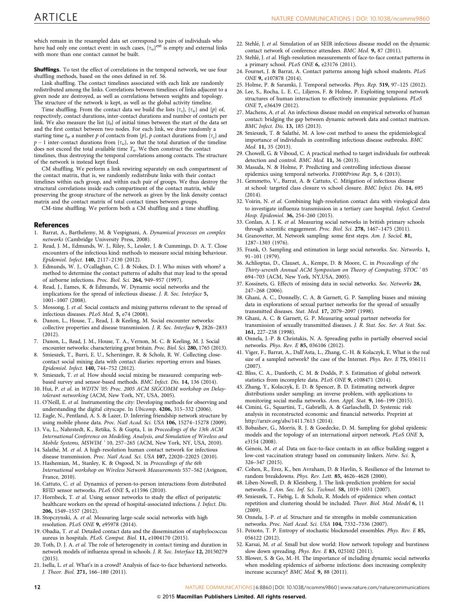<span id="page-11-0"></span>which remain in the resampled data set correspond to pairs of individuals who have had only one contact event: in such cases,  $\{\tau_{ic}\}^{\text{ext}}$  is empty and external links with more than one contact cannot be built.

Shufflings. To test the effect of correlations in the temporal network, we use four shuffling methods, based on the ones defined in [ref. 56.](#page-12-0)

Link shuffling. The contact timelines associated with each link are randomly redistributed among the links. Correlations between timelines of links adjacent to a given node are destroyed, as well as correlations between weights and topology. The structure of the network is kept, as well as the global activity timeline.

Time shuffling. From the contact data we build the lists  $\{\tau_c\}$ ,  $\{\tau_{ic}\}\$  and  $\{p\}$  of, respectively, contact durations, inter-contact durations and number of contacts per link. We also measure the list  $\{t_0\}$  of initial times between the start of the data set and the first contact between two nodes. For each link, we draw randomly a starting time  $t_0$ , a number p of contacts from  $\{p\}$ , p contact durations from  $\{\tau_c\}$  and  $p-1$  inter-contact durations from  $\{\tau_{ic}\}\$ , so that the total duration of the timeline does not exceed the total available time  $T_u$ . We then construct the contact timelines, thus destroying the temporal correlations among contacts. The structure of the network is instead kept fixed.

CM shuffling. We perform a link rewiring separately on each compartment of the contact matrix, that is, we randomly redistribute links with their contact timelines within each group, and within each pair of groups. We thus destroy the structural correlations inside each compartment of the contact matrix, while preserving the group structure of the network as given by the link density contact matrix and the contact matrix of total contact times between groups.

CM-time shuffling. We perform both a CM shuffling and a time shuffling.

### References

- 1. Barrat, A., Barthelemy, M. & Vespignani, A. Dynamical processes on complex networks (Cambridge University Press, 2008).
- Read, J. M., Edmunds, W. J., Riley, S., Lessler, J. & Cummings, D. A. T. Close encounters of the infectious kind: methods to measure social mixing behaviour. Epidemiol. Infect. 140, 2117–2130 (2012).
- 3. Edmunds, W. J., O'callaghan, C. J. & Nokes, D. J. Who mixes with whom? a method to determine the contact patterns of adults that may lead to the spread of airborne infections. Proc. Biol. Sci. 264, 949–957 (1997).
- 4. Read, J., Eames, K. & Edmunds, W. Dynamic social networks and the implications for the spread of infectious disease. J. R. Soc. Interface 5, 1001–1007 (2008).
- 5. Mossong, J. et al. Social contacts and mixing patterns relevant to the spread of infectious diseases. PLoS Med. 5, e74 (2008).
- 6. Danon, L., House, T., Read, J. & Keeling, M. Social encounter networks: collective properties and disease transmission. J. R. Soc. Interface 9, 2826–2833 (2012).
- 7. Danon, L., Read, J. M., House, T. A., Vernon, M. C. & Keeling, M. J. Social encounter networks: characterizing great britain. Proc. Biol. Sci. 280, 1765 (2013).
- 8. Smieszek, T., Burri, E. U., Scherzinger, R. & Scholz, R. W. Collecting closecontact social mixing data with contact diaries: reporting errors and biases. Epidemiol. Infect. 140, 744–752 (2012).
- 9. Smieszek, T. et al. How should social mixing be measured: comparing webbased survey and sensor-based methods. BMC Infect. Dis. 14, 136 (2014).
- 10. Hui, P. et al. in WDTN '05: Proc. 2005 ACM SIGCOMM workshop on Delaytolerant networking (ACM, New York, NY, USA, 2005).
- 11. O'Neill, E. et al. Instrumenting the city: Developing methods for observing and understanding the digital cityscape. In Ubicomp. 4206, 315–332 (2006).
- 12. Eagle, N., Pentland, A. S. & Lazer, D. Inferring friendship network structure by using mobile phone data. Proc. Natl Acad. Sci. USA 106, 15274–15278 (2009).
- 13. Vu, L., Nahrstedt, K., Retika, S. & Gupta, I. in Proceedings of the 13th ACM International Conference on Modeling, Analysis, and Simulation of Wireless and Mobile Systems, MSWIM ' 10, 257–265 (ACM, New York, NY, USA, 2010).
- 14. Salathé, M. et al. A high-resolution human contact network for infectious disease transmission. Proc. Natl Acad. Sci. USA 107, 22020–22025 (2010).
- 15. Hashemian, M., Stanley, K. & Osgood, N. in Proceedings of the 6th International workshop on Wireless Network Measurements 557–562 (Avignon, France, 2010).
- 16. Cattuto, C. et al. Dynamics of person-to-person interactions from distributed RFID sensor networks. PLoS ONE 5, e11596 (2010).
- 17. Hornbeck, T. et al. Using sensor networks to study the effect of peripatetic healthcare workers on the spread of hospital-associated infections. J. Infect. Dis. 206, 1549–1557 (2012).
- 18. Stopczynski, A. et al. Measuring large-scale social networks with high resolution. PLoS ONE 9, e95978 (2014).
- 19. Obadia, T. et al. Detailed contact data and the dissemination of staphylococcus aureus in hospitals. PLoS. Comput. Biol. 11, e1004170 (2015).
- 20. Toth, D. J. A. et al. The role of heterogeneity in contact timing and duration in network models of influenza spread in schools. J. R. Soc. Interface 12, 20150279 (2015).
- 21. Isella, L. et al. What's in a crowd? Analysis of face-to-face behavioral networks. J. Theor. Biol. 271, 166–180 (2011).
- 22. Stehlé, J. et al. Simulation of an SEIR infectious disease model on the dynamic contact network of conference attendees. BMC Med. 9, 87 (2011).
- 23. Stehlé, J. et al. High-resolution measurements of face-to-face contact patterns in a primary school. PLoS ONE 6, e23176 (2011).
- 24. Fournet, J. & Barrat, A. Contact patterns among high school students. PLoS ONE 9, e107878 (2014).
- 25. Holme, P. & Saramki, J. Temporal networks. Phys. Rep. 519, 97–125 (2012).
- 26. Lee, S., Rocha, L. E. C., Liljeros, F. & Holme, P. Exploiting temporal network structures of human interaction to effectively immunize populations. PLoS ONE 7, e36439 (2012).
- 27. Machens, A. et al. An infectious disease model on empirical networks of human contact: bridging the gap between dynamic network data and contact matrices. BMC Infect. Dis. 13, 185 (2013).
- 28. Smieszek, T. & Salathé, M. A low-cost method to assess the epidemiological importance of individuals in controlling infectious disease outbreaks. BMC Med. 11, 35 (2013).
- 29. Chowell, G. & Viboud, C. A practical method to target individuals for outbreak detection and control. BMC Med. 11, 36 (2013).
- 30. Masuda, N. & Holme, P. Predicting and controlling infectious disease epidemics using temporal networks. F1000Prime Rep. 5, 6 (2013).
- 31. Gemmetto, V., Barrat, A. & Cattuto, C. Mitigation of infectious disease at school: targeted class closure vs school closure. BMC Infect. Dis. 14, 695 (2014).
- 32. Voirin, N. et al. Combining high-resolution contact data with virological data to investigate influenza transmission in a tertiary care hospital. Infect. Control Hosp. Epidemiol. 36, 254–260 (2015).
- 33. Conlan, A. J. K. et al. Measuring social networks in british primary schools through scientific engagement. Proc. Biol. Sci. 278, 1467–1475 (2011).
- 34. Granovetter, M. Network sampling: some first steps. Am. J. Sociol. 81, 1287–1303 (1976).
- 35. Frank, O. Sampling and estimation in large social networks. Soc. Networks. 1, 91–101 (1979).
- 36. Achlioptas, D., Clauset, A., Kempe, D. & Moore, C. in Proceedings of the Thirty-seventh Annual ACM Symposium on Theory of Computing, STOC ' 05 694–703 (ACM, New York, NY,USA, 2005).
- 37. Kossinets, G. Effects of missing data in social networks. Soc. Networks 28, 247–268 (2006).
- 38. Ghani, A. C., Donnelly, C. A. & Garnett, G. P. Sampling biases and missing data in explorations of sexual partner networks for the spread of sexually transmitted diseases. Stat. Med. 17, 2079–2097 (1998).
- 39. Ghani, A. C. & Garnett, G. P. Measuring sexual partner networks for transmission of sexually transmitted diseases. J. R. Stat. Soc. Ser. A Stat. Soc. 161, 227–238 (1998).
- 40. Onnela, J.-P. & Christakis, N. A. Spreading paths in partially observed social networks. Phys. Rev. E 85, 036106 (2012).
- 41. Viger, F., Barrat, A., Dall'Asta, L., Zhang, C.-H. & Kolaczyk, E. What is the real size of a sampled network? the case of the Internet. Phys. Rev. E 75, 056111 (2007).
- 42. Bliss, C. A., Danforth, C. M. & Dodds, P. S. Estimation of global network statistics from incomplete data. PLoS ONE 9, e108471 (2014).
- 43. Zhang, Y., Kolaczyk, E. D. & Spencer, B. D. Estimating network degree distributions under sampling: an inverse problem, with applications to monitoring social media networks. Ann. Appl. Stat. 9, 166–199 (2015).
- 44. Cimini, G., Squartini, T., Gabrielli, A. & Garlaschelli, D. Systemic risk analysis in reconstructed economic and financial networks. Preprint at <http://arxiv.org/abs/1411.7613> (2014).
- 45. Bobashev, G., Morris, R. J. & Goedecke, D. M. Sampling for global epidemic models and the topology of an international airport network. PLoS ONE 3, e3154 (2008).
- 46. Génois, M. et al. Data on face-to-face contacts in an office building suggest a low-cost vaccination strategy based on community linkers. Netw. Sci. 3, 326–347 (2015).
- 47. Cohen, R., Erez, K., ben Avraham, D. & Havlin, S. Resilience of the Internet to random breakdowns. Phys. Rev. Lett. 85, 4626–4628 (2000).
- 48. Liben-Nowell, D. & Kleinberg, J. The link-prediction problem for social networks. J. Am. Soc. Inf. Sci. Technol. 58, 1019–1031 (2007).
- 49. Smieszek, T., Fiebig, L. & Scholz, R. Models of epidemics: when contact repetition and clustering should be included. Theor. Biol. Med. Model 6, 11  $(2009)$
- 50. Onnela, J.-P. et al. Structure and tie strengths in mobile communication networks. Proc. Natl Acad. Sci. USA 104, 7332–7336 (2007).
- 51. Peixoto, T. P. Entropy of stochastic blockmodel ensembles. Phys. Rev. E 85, 056122 (2012).
- 52. Karsai, M. et al. Small but slow world: How network topology and burstiness slow down spreading. Phys. Rev. E 83, 025102 (2011).
- 53. Blower, S. & Go, M.-H. The importance of including dynamic social networks when modeling epidemics of airborne infections: does increasing complexity increase accuracy? BMC Med. 9, 88 (2011).